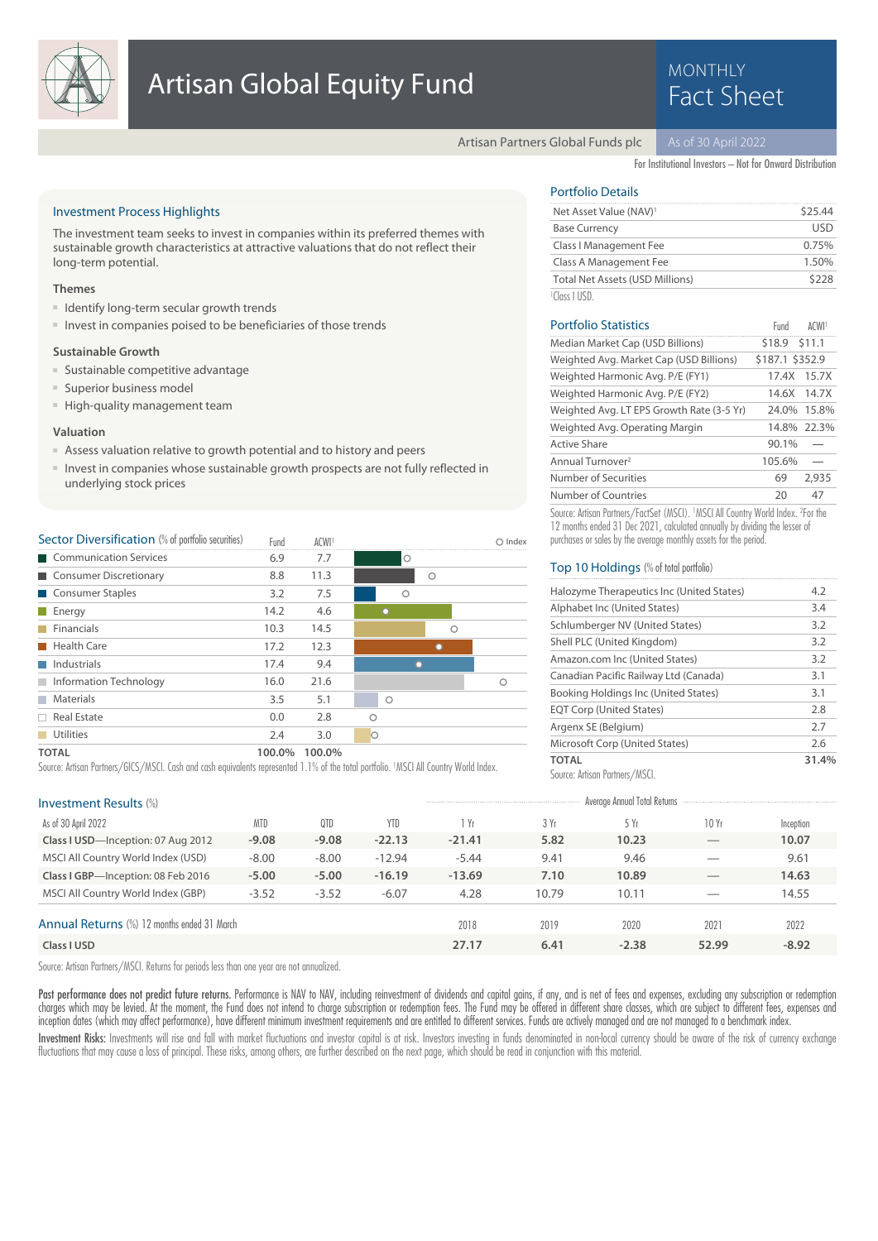

# **MONTHLY**

Artisan Partners Global Funds plc

For Institutional Investors – Not for Onward Distribution

Fund

#### Investment Process Highlights

The investment team seeks to invest in companies within its preferred themes with sustainable growth characteristics at attractive valuations that do not reflect their long-term potential.

#### **Themes**

- Identify long-term secular growth trends
- Invest in companies poised to be beneficiaries of those trends

#### **Sustainable Growth**

- Sustainable competitive advantage
- Superior business model
- High-quality management team

#### **Valuation**

- Assess valuation relative to growth potential and to history and peers
- Invest in companies whose sustainable growth prospects are not fully reflected in underlying stock prices

| Sector Diversification (% of portfolio securities) |  |  |  |  | Fu |
|----------------------------------------------------|--|--|--|--|----|
|----------------------------------------------------|--|--|--|--|----|

| <b>Sector Diversification</b> (% of portfolio securities) | Fund   | ACWI <sup>1</sup> |         |   |   | Index |
|-----------------------------------------------------------|--------|-------------------|---------|---|---|-------|
| Communication Services                                    | 6.9    | 7.7               | $\circ$ |   |   |       |
| Consumer Discretionary                                    | 8.8    | 11.3              |         | Ο |   |       |
| Consumer Staples                                          | 3.2    | 7.5               | O       |   |   |       |
| $\blacksquare$ Energy                                     | 14.2   | 4.6               |         |   |   |       |
| Financials                                                | 10.3   | 14.5              |         |   | Ο |       |
| <b>Health Care</b>                                        | 17.2   | 12.3              |         |   |   |       |
| $\blacksquare$ Industrials                                | 17.4   | 9.4               |         |   |   |       |
| Information Technology                                    | 16.0   | 21.6              |         |   |   | ◠     |
| <b>Materials</b>                                          | 3.5    | 5.1               | Ο       |   |   |       |
| $\Box$ Real Estate                                        | 0.0    | 2.8               | ∩       |   |   |       |
| <b>Utilities</b>                                          | 2.4    | 3.0               | $\circ$ |   |   |       |
| <b>TOTAL</b>                                              | 100.0% | 100.0%            |         |   |   |       |

Source: Artisan Partners/GICS/MSCI. Cash and cash equivalents represented 1.1% of the total portfolio. <sup>1</sup>MSCI All Country World Index.

| <b>Investment Results (%)</b>               |            |         |            |          |       | Average Annual Total Returns |                                |           |
|---------------------------------------------|------------|---------|------------|----------|-------|------------------------------|--------------------------------|-----------|
| As of 30 April 2022                         | <b>MTD</b> | QTD     | <b>YTD</b> | 1 Yr     | 3 Yr  | 5Yr                          | 10Yr                           | Inception |
| Class I USD-Inception: 07 Aug 2012          | $-9.08$    | $-9.08$ | $-22.13$   | $-21.41$ | 5.82  | 10.23                        | $\overbrace{\hspace{25mm}}^{}$ | 10.07     |
| MSCI All Country World Index (USD)          | $-8.00$    | $-8.00$ | $-12.94$   | $-5.44$  | 9.41  | 9.46                         |                                | 9.61      |
| Class I GBP-Inception: 08 Feb 2016          | $-5.00$    | $-5.00$ | $-16.19$   | $-13.69$ | 7.10  | 10.89                        | $-$                            | 14.63     |
| MSCI All Country World Index (GBP)          | $-3.52$    | $-3.52$ | $-6.07$    | 4.28     | 10.79 | 10.11                        |                                | 14.55     |
| Annual Returns (%) 12 months ended 31 March |            |         |            | 2018     | 2019  | 2020                         | 2021                           | 2022      |
| Class I USD                                 |            |         |            | 27.17    | 6.41  | $-2.38$                      | 52.99                          | $-8.92$   |
|                                             |            |         |            |          |       |                              |                                |           |

Source: Artisan Partners/MSCI. Returns for periods less than one year are not annualized.

Past performance does not predict future returns. Performance is NAV to NAV, including reinvestment of dividends and capital gains, if any, and is net of fees and expenses, excluding any subscription or redemption charges which may be levied. At the moment, the Fund does not intend to charge subscription or redemption fees. The Fund may be offered in different share classes, which are subject to different fees, expenses and inception dates (which may affect performance), have different minimum investment requirements and are entitled to different services. Funds are actively managed and are not managed to a benchmark index.

Investment Risks: Investments will rise and fall with market fluctuations and investor capital is at risk. Investors investing in funds denominated in non-local currency should be aware of the risk of currency exchange fluctuations that may cause a loss of principal. These risks, among others, are further described on the next page, which should be read in conjunction with this material.

## Portfolio Details

| Net Asset Value (NAV) <sup>1</sup>     | \$25.44  |
|----------------------------------------|----------|
|                                        | lisd     |
| <b>Base Currency</b>                   |          |
| Class I Management Fee                 | 0.75%    |
| Class A Management Fee                 | $1.50\%$ |
| <b>Total Net Assets (USD Millions)</b> | \$228    |
| $\sim$ 1111 1 $\sim$ n $\sim$          |          |

### Portfolio Statistics ACWI1 and ACWI1

| Median Market Cap (USD Billions)                                                             | \$18.9 \$11.1   |             |
|----------------------------------------------------------------------------------------------|-----------------|-------------|
| Weighted Avg. Market Cap (USD Billions)                                                      | \$187.1 \$352.9 |             |
| Weighted Harmonic Avg. P/E (FY1)                                                             | 17.4X           | 15.7X       |
| Weighted Harmonic Avg. P/E (FY2)                                                             | 14.6X           | 14.7X       |
| Weighted Avg. LT EPS Growth Rate (3-5 Yr)                                                    |                 | 24.0% 15.8% |
| Weighted Avg. Operating Margin                                                               |                 | 14.8% 22.3% |
| <b>Active Share</b>                                                                          | 90.1%           |             |
| Annual Turnover <sup>2</sup>                                                                 | 105.6%          |             |
| Number of Securities                                                                         | 69              | 2.935       |
| Number of Countries                                                                          | 20              | 47          |
| Source: Artisan Partners/FactSet (MSCI). 1MSCI All Country World Index. <sup>2</sup> For the |                 |             |

12 months ended 31 Dec 2021, calculated annually by dividing the lesser of purchases or sales by the average monthly assets for the period.

#### Top 10 Holdings (% of total portfolio)

| TOTAL                                     | 31.4% |
|-------------------------------------------|-------|
| Microsoft Corp (United States)            | 2.6   |
| Argenx SE (Belgium)                       | 2.7   |
| <b>EQT Corp (United States)</b>           | 2.8   |
| Booking Holdings Inc (United States)      | 3.1   |
| Canadian Pacific Railway Ltd (Canada)     | 3.1   |
| Amazon.com Inc (United States)            | 3.2   |
| Shell PLC (United Kingdom)                | 3.2   |
| Schlumberger NV (United States)           | 3.2   |
| Alphabet Inc (United States)              | 3.4   |
| Halozyme Therapeutics Inc (United States) | 4.2   |

Source: Artisan Partners/MSCI.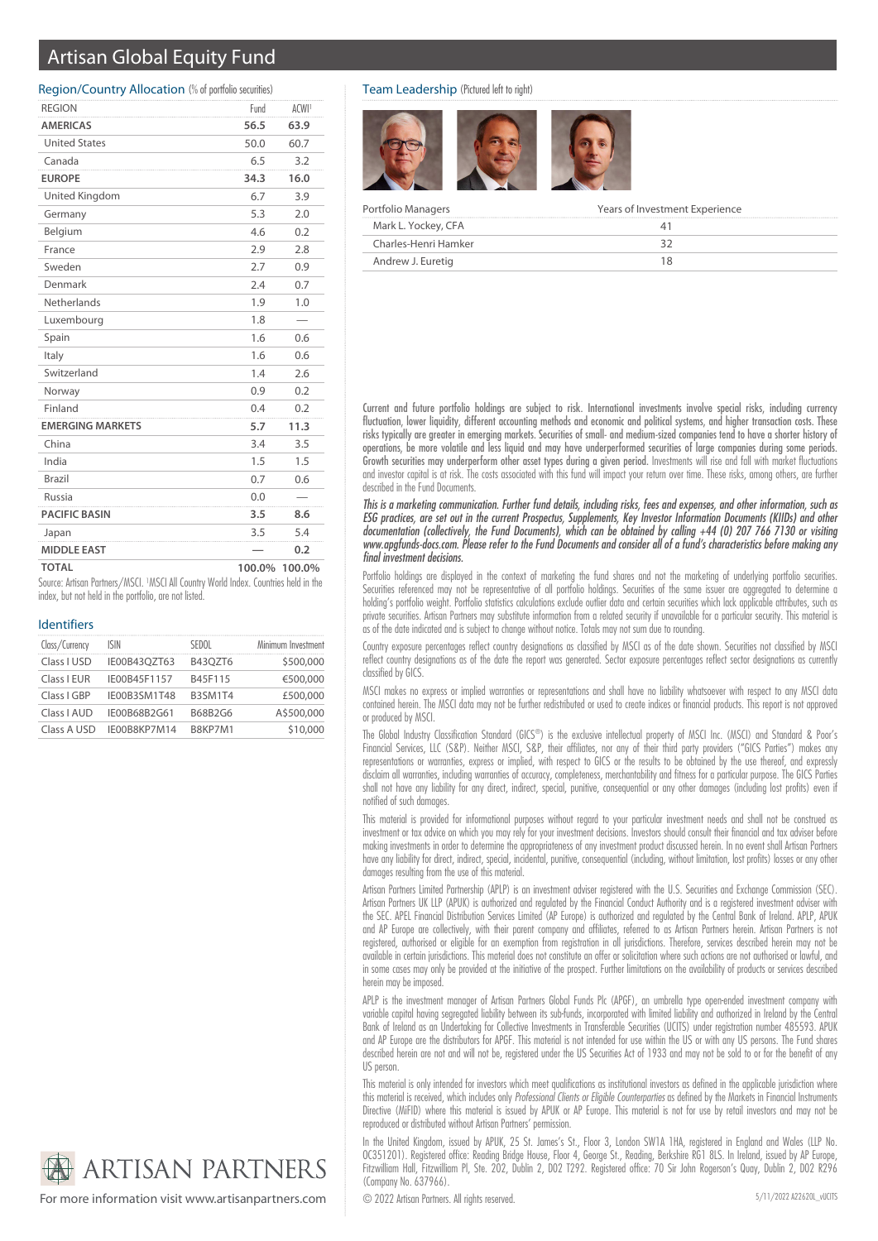## Artisan Global Equity Fund

#### Region/Country Allocation (% of portfolio securities)

| <b>REGION</b>           | Fund   | ACWI <sup>1</sup> |
|-------------------------|--------|-------------------|
| <b>AMERICAS</b>         | 56.5   | 63.9              |
| <b>United States</b>    | 50.0   | 60.7              |
| Canada                  | 6.5    | 3.2               |
| <b>EUROPE</b>           | 34.3   | 16.0              |
| <b>United Kingdom</b>   | 6.7    | 3.9               |
| Germany                 | 5.3    | 2.0               |
| Belgium                 | 4.6    | 0.2               |
| France                  | 2.9    | 2.8               |
| Sweden                  | 2.7    | 0.9               |
| Denmark                 | 2.4    | 0.7               |
| Netherlands             | 1.9    | 1.0               |
| Luxembourg              | 1.8    |                   |
| Spain                   | 1.6    | 0.6               |
| Italy                   | 1.6    | 0.6               |
| Switzerland             | 1.4    | 2.6               |
| Norway                  | 0.9    | 0.2               |
| Finland                 | 0.4    | 0.2               |
| <b>EMERGING MARKETS</b> | 5.7    | 11.3              |
| China                   | 3.4    | 3.5               |
| India                   | 1.5    | 1.5               |
| <b>Brazil</b>           | 0.7    | 0.6               |
| Russia                  | 0.0    |                   |
| <b>PACIFIC BASIN</b>    | 3.5    | 8.6               |
| Japan                   | 3.5    | 5.4               |
| <b>MIDDLE EAST</b>      |        | 0.2               |
| <b>TOTAL</b>            | 100.0% | 100.0%            |

Source: Artisan Partners/MSCI. <sup>1</sup>MSCI All Country World Index. Countries held in the index, but not held in the portfolio, are not listed.

#### Identifiers

| Class/Currency | ISIN         | SEDOL          | Minimum Investment |
|----------------|--------------|----------------|--------------------|
| Class I USD    | IE00B43OZT63 | <b>B43OZT6</b> | \$500,000          |
| Class I EUR    | IE00B45F1157 | B45F115        | €500,000           |
| Class I GBP    | IE00B3SM1T48 | B3SM1T4        | £500,000           |
| Class I AUD    | IE00B68B2G61 | B68B2G6        | A\$500,000         |
| Class A USD    | IE00B8KP7M14 | B8KP7M1        | \$10,000           |



For more information visit www.artisanpartners.com  $\bigcirc$  2022 Artisan Partners. All rights reserved.

#### Team Leadership (Pictured left to right)



| Portfolio Managers   | Years of Investment Experience |  |  |
|----------------------|--------------------------------|--|--|
| Mark L. Yockey, CFA  |                                |  |  |
| Charles-Henri Hamker |                                |  |  |
| Andrew J. Euretig    |                                |  |  |

Current and future portfolio holdings are subject to risk. International investments involve special risks, including currency fluctuation, lower liquidity, different accounting methods and economic and political systems, and higher transaction costs. These risks typically are greater in emerging markets. Securities of small- and medium-sized companies tend to have a shorter history of operations, be more volatile and less liquid and may have underperformed securities of large companies during some periods. Growth securities may underperform other asset types during a given period. Investments will rise and fall with market fluctuations and investor capital is at risk. The costs associated with this fund will impact your return over time. These risks, among others, are further described in the Fund Documents.

This is a marketing communication. Further fund details, including risks, fees and expenses, and other information, such as ESG practices, are set out in the current Prospectus, Supplements, Key Investor Information Documents (KIIDs) and other documentation (collectively, the Fund Documents), which can be obtained by calling +44 (0) 207 766 7130 or visiting www.apgfunds-docs.com. Please refer to the Fund Documents and consider all of a fund's characteristics before making any final investment decisions.

Portfolio holdings are displayed in the context of marketing the fund shares and not the marketing of underlying portfolio securities. Securities referenced may not be representative of all portfolio holdings. Securities of the same issuer are aggregated to determine a holding's portfolio weight. Portfolio statistics calculations exclude outlier data and certain securities which lack applicable attributes, such as private securities. Artisan Partners may substitute information from a related security if unavailable for a particular security. This material is as of the date indicated and is subject to change without notice. Totals may not sum due to rounding.

Country exposure percentages reflect country designations as classified by MSCI as of the date shown. Securities not classified by MSCI reflect country designations as of the date the report was generated. Sector exposure percentages reflect sector designations as currently classified by GICS.

MSCI makes no express or implied warranties or representations and shall have no liability whatsoever with respect to any MSCI data contained herein. The MSCI data may not be further redistributed or used to create indices or financial products. This report is not approved or produced by MSCI.

The Global Industry Classification Standard (GICS®) is the exclusive intellectual property of MSCI Inc. (MSCI) and Standard & Poor's Financial Services, LLC (S&P). Neither MSCI, S&P, their affiliates, nor any of their third party providers ("GICS Parties") makes any representations or warranties, express or implied, with respect to GICS or the results to be obtained by the use thereof, and expressly disclaim all warranties, including warranties of accuracy, completeness, merchantability and fitness for a particular purpose. The GICS Parties shall not have any liability for any direct, indirect, special, punitive, consequential or any other damages (including lost profits) even if notified of such damages.

This material is provided for informational purposes without regard to your particular investment needs and shall not be construed as investment or tax advice on which you may rely for your investment decisions. Investors should consult their financial and tax adviser before making investments in order to determine the appropriateness of any investment product discussed herein. In no event shall Artisan Partners have any liability for direct, indirect, special, incidental, punitive, consequential (including, without limitation, lost profits) losses or any other damages resulting from the use of this material.

Artisan Partners Limited Partnership (APLP) is an investment adviser registered with the U.S. Securities and Exchange Commission (SEC). Artisan Partners UK LLP (APUK) is authorized and regulated by the Financial Conduct Authority and is a registered investment adviser with the SEC. APEL Financial Distribution Services Limited (AP Europe) is authorized and regulated by the Central Bank of Ireland. APLP, APUK and AP Europe are collectively, with their parent company and affiliates, referred to as Artisan Partners herein. Artisan Partners is not registered, authorised or eligible for an exemption from registration in all jurisdictions. Therefore, services described herein may not be available in certain jurisdictions. This material does not constitute an offer or solicitation where such actions are not authorised or lawful, and in some cases may only be provided at the initiative of the prospect. Further limitations on the availability of products or services described herein may be imposed.

APLP is the investment manager of Artisan Partners Global Funds Plc (APGF), an umbrella type open-ended investment company with variable capital having segregated liability between its sub-funds, incorporated with limited liability and authorized in Ireland by the Central Bank of Ireland as an Undertaking for Collective Investments in Transferable Securities (UCITS) under registration number 485593. APUK and AP Europe are the distributors for APGF. This material is not intended for use within the US or with any US persons. The Fund shares described herein are not and will not be, registered under the US Securities Act of 1933 and may not be sold to or for the benefit of any US person.

This material is only intended for investors which meet qualifications as institutional investors as defined in the applicable jurisdiction where this material is received, which includes only Professional Clients or Eligible Counterparties as defined by the Markets in Financial Instruments Directive (MiFID) where this material is issued by APUK or AP Europe. This material is not for use by retail investors and may not be reproduced or distributed without Artisan Partners' permission.

In the United Kingdom, issued by APUK, 25 St. James's St., Floor 3, London SW1A 1HA, registered in England and Wales (LLP No. OC351201). Registered office: Reading Bridge House, Floor 4, George St., Reading, Berkshire RG1 8LS. In Ireland, issued by AP Europe, Fitzwilliam Hall, Fitzwilliam Pl, Ste. 202, Dublin 2, D02 T292. Registered office: 70 Sir John Rogerson's Quay, Dublin 2, D02 R296 (Company No. 637966).